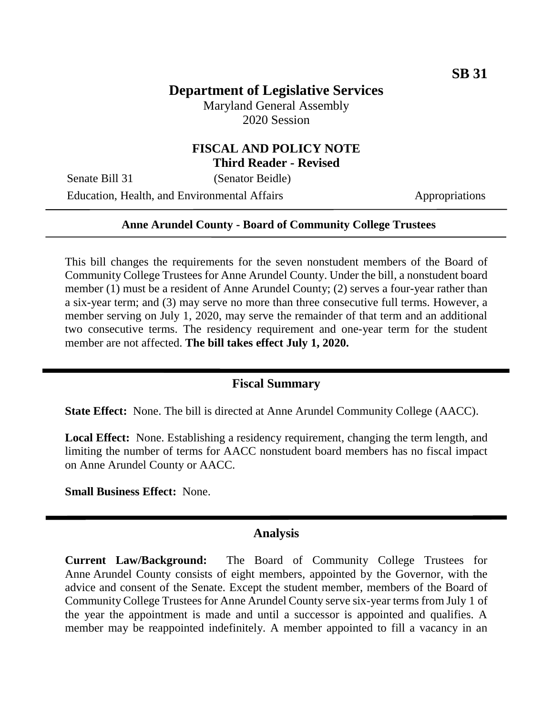# **Department of Legislative Services**

Maryland General Assembly 2020 Session

### **FISCAL AND POLICY NOTE Third Reader - Revised**

Senate Bill 31 (Senator Beidle)

Education, Health, and Environmental Affairs Appropriations

### **Anne Arundel County - Board of Community College Trustees**

This bill changes the requirements for the seven nonstudent members of the Board of Community College Trustees for Anne Arundel County. Under the bill, a nonstudent board member (1) must be a resident of Anne Arundel County; (2) serves a four-year rather than a six-year term; and (3) may serve no more than three consecutive full terms. However, a member serving on July 1, 2020, may serve the remainder of that term and an additional two consecutive terms. The residency requirement and one-year term for the student member are not affected. **The bill takes effect July 1, 2020.**

#### **Fiscal Summary**

**State Effect:** None. The bill is directed at Anne Arundel Community College (AACC).

**Local Effect:** None. Establishing a residency requirement, changing the term length, and limiting the number of terms for AACC nonstudent board members has no fiscal impact on Anne Arundel County or AACC.

**Small Business Effect:** None.

#### **Analysis**

**Current Law/Background:** The Board of Community College Trustees for Anne Arundel County consists of eight members, appointed by the Governor, with the advice and consent of the Senate. Except the student member, members of the Board of Community College Trustees for Anne Arundel County serve six-year terms from July 1 of the year the appointment is made and until a successor is appointed and qualifies. A member may be reappointed indefinitely. A member appointed to fill a vacancy in an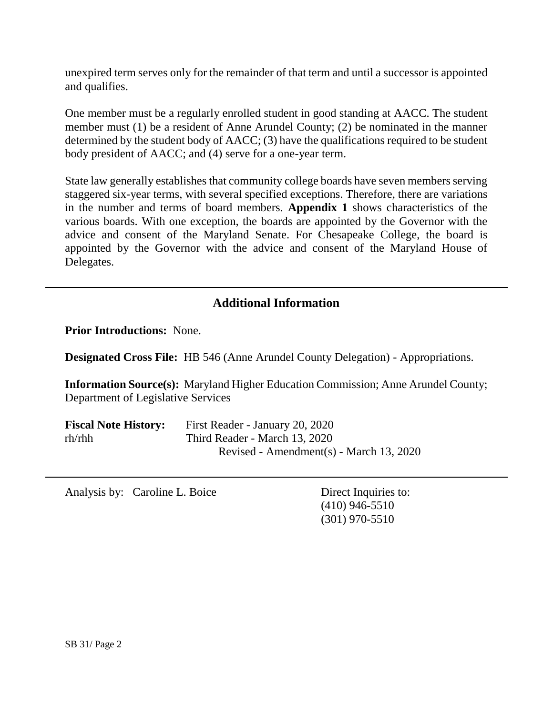unexpired term serves only for the remainder of that term and until a successor is appointed and qualifies.

One member must be a regularly enrolled student in good standing at AACC. The student member must (1) be a resident of Anne Arundel County; (2) be nominated in the manner determined by the student body of AACC; (3) have the qualifications required to be student body president of AACC; and (4) serve for a one-year term.

State law generally establishes that community college boards have seven members serving staggered six-year terms, with several specified exceptions. Therefore, there are variations in the number and terms of board members. **Appendix 1** shows characteristics of the various boards. With one exception, the boards are appointed by the Governor with the advice and consent of the Maryland Senate. For Chesapeake College, the board is appointed by the Governor with the advice and consent of the Maryland House of Delegates.

# **Additional Information**

**Prior Introductions:** None.

**Designated Cross File:** HB 546 (Anne Arundel County Delegation) - Appropriations.

**Information Source(s):** Maryland Higher Education Commission; Anne Arundel County; Department of Legislative Services

| <b>Fiscal Note History:</b> | First Reader - January 20, 2020         |
|-----------------------------|-----------------------------------------|
| $rh$ / $rh$ h               | Third Reader - March 13, 2020           |
|                             | Revised - Amendment(s) - March 13, 2020 |

Analysis by: Caroline L. Boice Direct Inquiries to:

(410) 946-5510 (301) 970-5510